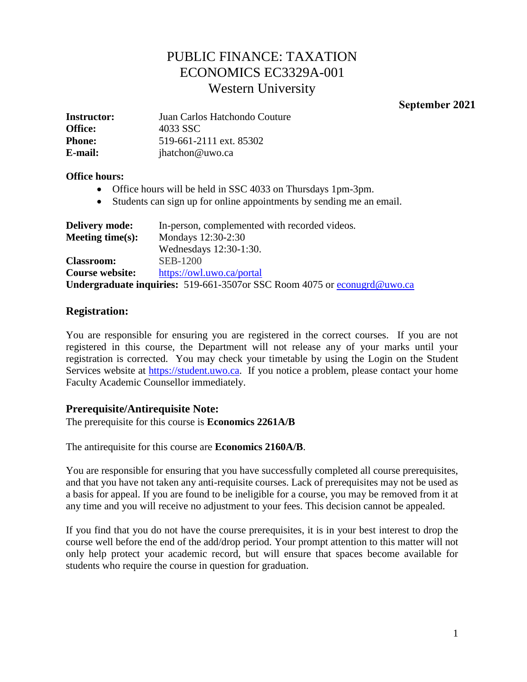# PUBLIC FINANCE: TAXATION ECONOMICS EC3329A-001 Western University

**September 2021** 

| <b>Instructor:</b> | Juan Carlos Hatchondo Couture |  |
|--------------------|-------------------------------|--|
| <b>Office:</b>     | 4033 SSC                      |  |
| <b>Phone:</b>      | 519-661-2111 ext. 85302       |  |
| E-mail:            | jhatchon@uwo.ca               |  |

#### **Office hours:**

- Office hours will be held in SSC 4033 on Thursdays 1pm-3pm.
- Students can sign up for online appointments by sending me an email.

| <b>Delivery mode:</b> | In-person, complemented with recorded videos.                            |
|-----------------------|--------------------------------------------------------------------------|
| Meeting time $(s)$ :  | Mondays 12:30-2:30                                                       |
|                       | Wednesdays 12:30-1:30.                                                   |
| <b>Classroom:</b>     | <b>SEB-1200</b>                                                          |
| Course website:       | https://owl.uwo.ca/portal                                                |
|                       | Undergraduate inquiries: 519-661-3507or SSC Room 4075 or econugrd@uwo.ca |

# **Registration:**

You are responsible for ensuring you are registered in the correct courses. If you are not registered in this course, the Department will not release any of your marks until your registration is corrected. You may check your timetable by using the Login on the Student Services website at [https://student.uwo.ca.](https://student.uwo.ca/) If you notice a problem, please contact your home Faculty Academic Counsellor immediately.

#### **Prerequisite/Antirequisite Note:**

The prerequisite for this course is **Economics 2261A/B**

The antirequisite for this course are **Economics 2160A/B**.

You are responsible for ensuring that you have successfully completed all course prerequisites, and that you have not taken any anti-requisite courses. Lack of prerequisites may not be used as a basis for appeal. If you are found to be ineligible for a course, you may be removed from it at any time and you will receive no adjustment to your fees. This decision cannot be appealed.

If you find that you do not have the course prerequisites, it is in your best interest to drop the course well before the end of the add/drop period. Your prompt attention to this matter will not only help protect your academic record, but will ensure that spaces become available for students who require the course in question for graduation.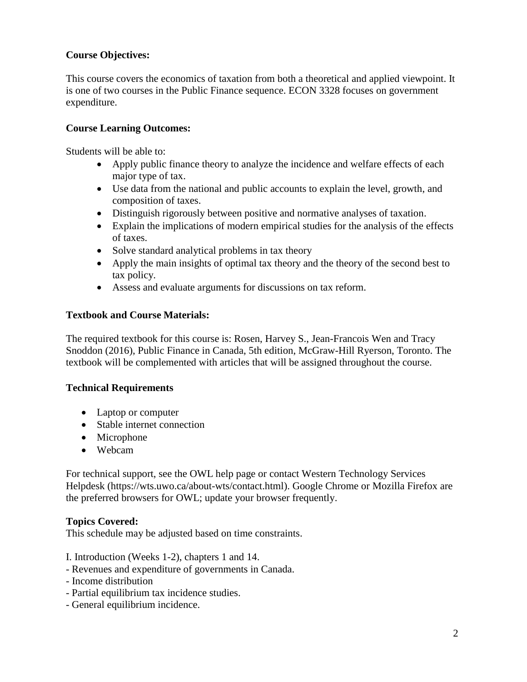# **Course Objectives:**

This course covers the economics of taxation from both a theoretical and applied viewpoint. It is one of two courses in the Public Finance sequence. ECON 3328 focuses on government expenditure.

# **Course Learning Outcomes:**

Students will be able to:

- Apply public finance theory to analyze the incidence and welfare effects of each major type of tax.
- Use data from the national and public accounts to explain the level, growth, and composition of taxes.
- Distinguish rigorously between positive and normative analyses of taxation.
- Explain the implications of modern empirical studies for the analysis of the effects of taxes.
- Solve standard analytical problems in tax theory
- Apply the main insights of optimal tax theory and the theory of the second best to tax policy.
- Assess and evaluate arguments for discussions on tax reform.

# **Textbook and Course Materials:**

The required textbook for this course is: Rosen, Harvey S., Jean-Francois Wen and Tracy Snoddon (2016), Public Finance in Canada, 5th edition, McGraw-Hill Ryerson, Toronto. The textbook will be complemented with articles that will be assigned throughout the course.

#### **Technical Requirements**

- Laptop or computer
- Stable internet connection
- Microphone
- Webcam

For technical support, see the OWL help page or contact Western Technology Services Helpdesk [\(https://wts.uwo.ca/about-wts/contact.html\)](https://wts.uwo.ca/about-wts/contact.html). Google Chrome or Mozilla Firefox are the preferred browsers for OWL; update your browser frequently.

# **Topics Covered:**

This schedule may be adjusted based on time constraints.

- I. Introduction (Weeks 1-2), chapters 1 and 14.
- Revenues and expenditure of governments in Canada.
- Income distribution
- Partial equilibrium tax incidence studies.
- General equilibrium incidence.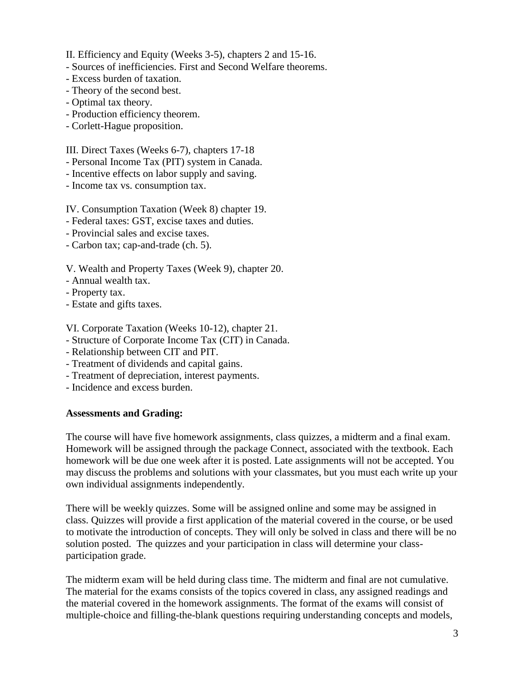- II. Efficiency and Equity (Weeks 3-5), chapters 2 and 15-16.
- Sources of inefficiencies. First and Second Welfare theorems.
- Excess burden of taxation.
- Theory of the second best.
- Optimal tax theory.
- Production efficiency theorem.
- Corlett-Hague proposition.

III. Direct Taxes (Weeks 6-7), chapters 17-18

- Personal Income Tax (PIT) system in Canada.
- Incentive effects on labor supply and saving.
- Income tax vs. consumption tax.

IV. Consumption Taxation (Week 8) chapter 19.

- Federal taxes: GST, excise taxes and duties.
- Provincial sales and excise taxes.
- Carbon tax; cap-and-trade (ch. 5).

V. Wealth and Property Taxes (Week 9), chapter 20.

- Annual wealth tax.
- Property tax.
- Estate and gifts taxes.

VI. Corporate Taxation (Weeks 10-12), chapter 21.

- Structure of Corporate Income Tax (CIT) in Canada.
- Relationship between CIT and PIT.
- Treatment of dividends and capital gains.
- Treatment of depreciation, interest payments.
- Incidence and excess burden.

#### **Assessments and Grading:**

The course will have five homework assignments, class quizzes, a midterm and a final exam. Homework will be assigned through the package Connect, associated with the textbook. Each homework will be due one week after it is posted. Late assignments will not be accepted. You may discuss the problems and solutions with your classmates, but you must each write up your own individual assignments independently.

There will be weekly quizzes. Some will be assigned online and some may be assigned in class. Quizzes will provide a first application of the material covered in the course, or be used to motivate the introduction of concepts. They will only be solved in class and there will be no solution posted. The quizzes and your participation in class will determine your classparticipation grade.

The midterm exam will be held during class time. The midterm and final are not cumulative. The material for the exams consists of the topics covered in class, any assigned readings and the material covered in the homework assignments. The format of the exams will consist of multiple-choice and filling-the-blank questions requiring understanding concepts and models,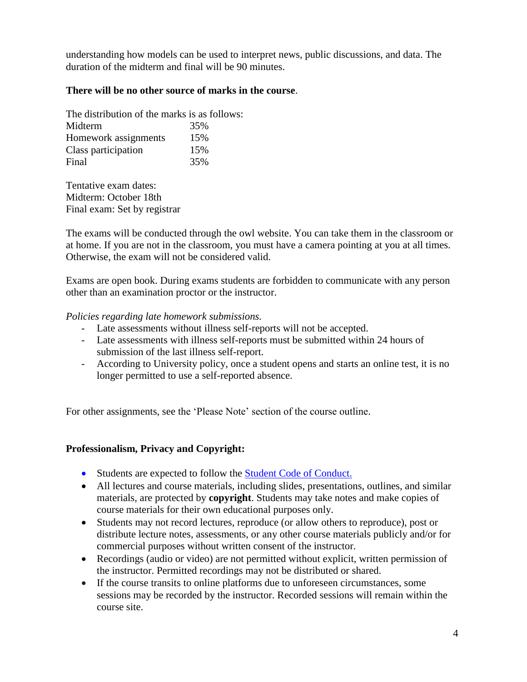understanding how models can be used to interpret news, public discussions, and data. The duration of the midterm and final will be 90 minutes.

### **There will be no other source of marks in the course**.

| The distribution of the marks is as follows: |     |
|----------------------------------------------|-----|
| Midterm                                      | 35% |
| Homework assignments                         | 15% |
| Class participation                          | 15% |
| Final                                        | 35% |

Tentative exam dates: Midterm: October 18th Final exam: Set by registrar

The exams will be conducted through the owl website. You can take them in the classroom or at home. If you are not in the classroom, you must have a camera pointing at you at all times. Otherwise, the exam will not be considered valid.

Exams are open book. During exams students are forbidden to communicate with any person other than an examination proctor or the instructor.

#### *Policies regarding late homework submissions.*

- Late assessments without illness self-reports will not be accepted.
- Late assessments with illness self-reports must be submitted within 24 hours of submission of the last illness self-report.
- According to University policy, once a student opens and starts an online test, it is no longer permitted to use a self-reported absence.

For other assignments, see the 'Please Note' section of the course outline.

#### **Professionalism, Privacy and Copyright:**

- Students are expected to follow the **Student Code of Conduct.**
- All lectures and course materials, including slides, presentations, outlines, and similar materials, are protected by **copyright**. Students may take notes and make copies of course materials for their own educational purposes only.
- Students may not record lectures, reproduce (or allow others to reproduce), post or distribute lecture notes, assessments, or any other course materials publicly and/or for commercial purposes without written consent of the instructor.
- Recordings (audio or video) are not permitted without explicit, written permission of the instructor. Permitted recordings may not be distributed or shared.
- If the course transits to online platforms due to unforeseen circumstances, some sessions may be recorded by the instructor. Recorded sessions will remain within the course site.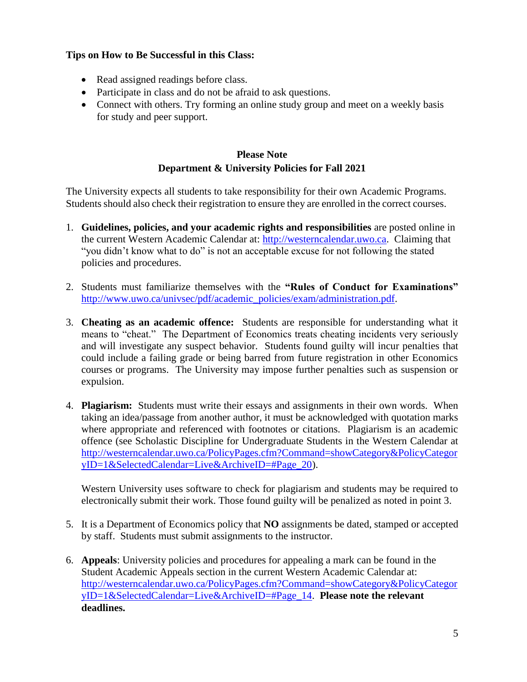# **Tips on How to Be Successful in this Class:**

- Read assigned readings before class.
- Participate in class and do not be afraid to ask questions.
- Connect with others. Try forming an online study group and meet on a weekly basis for study and peer support.

# **Please Note Department & University Policies for Fall 2021**

The University expects all students to take responsibility for their own Academic Programs. Students should also check their registration to ensure they are enrolled in the correct courses.

- 1. **Guidelines, policies, and your academic rights and responsibilities** are posted online in the current Western Academic Calendar at: [http://westerncalendar.uwo.ca.](http://westerncalendar.uwo.ca/) Claiming that "you didn't know what to do" is not an acceptable excuse for not following the stated policies and procedures.
- 2. Students must familiarize themselves with the **"Rules of Conduct for Examinations"** [http://www.uwo.ca/univsec/pdf/academic\\_policies/exam/administration.pdf.](http://www.uwo.ca/univsec/pdf/academic_policies/exam/administration.pdf)
- 3. **Cheating as an academic offence:** Students are responsible for understanding what it means to "cheat." The Department of Economics treats cheating incidents very seriously and will investigate any suspect behavior. Students found guilty will incur penalties that could include a failing grade or being barred from future registration in other Economics courses or programs. The University may impose further penalties such as suspension or expulsion.
- 4. **Plagiarism:** Students must write their essays and assignments in their own words. When taking an idea/passage from another author, it must be acknowledged with quotation marks where appropriate and referenced with footnotes or citations. Plagiarism is an academic offence (see Scholastic Discipline for Undergraduate Students in the Western Calendar at [http://westerncalendar.uwo.ca/PolicyPages.cfm?Command=showCategory&PolicyCategor](http://westerncalendar.uwo.ca/PolicyPages.cfm?Command=showCategory&PolicyCategoryID=1&SelectedCalendar=Live&ArchiveID=#Page_20) [yID=1&SelectedCalendar=Live&ArchiveID=#Page\\_20\)](http://westerncalendar.uwo.ca/PolicyPages.cfm?Command=showCategory&PolicyCategoryID=1&SelectedCalendar=Live&ArchiveID=#Page_20).

Western University uses software to check for plagiarism and students may be required to electronically submit their work. Those found guilty will be penalized as noted in point 3.

- 5. It is a Department of Economics policy that **NO** assignments be dated, stamped or accepted by staff. Students must submit assignments to the instructor.
- 6. **Appeals**: University policies and procedures for appealing a mark can be found in the Student Academic Appeals section in the current Western Academic Calendar at: [http://westerncalendar.uwo.ca/PolicyPages.cfm?Command=showCategory&PolicyCategor](http://westerncalendar.uwo.ca/PolicyPages.cfm?Command=showCategory&PolicyCategoryID=1&SelectedCalendar=Live&ArchiveID=#Page_14) [yID=1&SelectedCalendar=Live&ArchiveID=#Page\\_14.](http://westerncalendar.uwo.ca/PolicyPages.cfm?Command=showCategory&PolicyCategoryID=1&SelectedCalendar=Live&ArchiveID=#Page_14) **Please note the relevant deadlines.**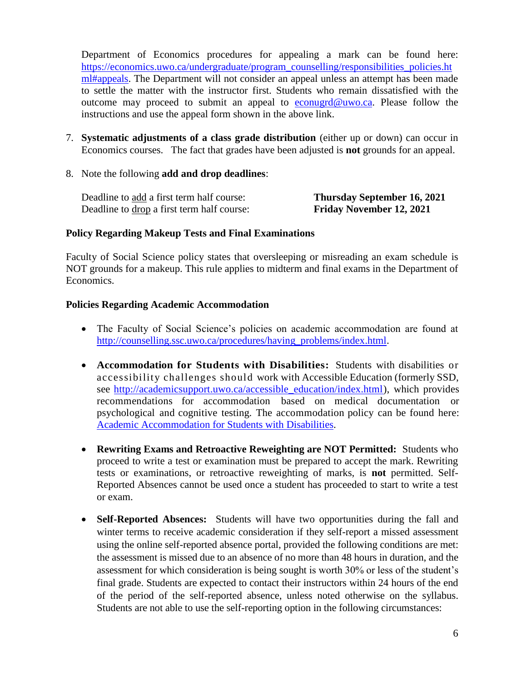Department of Economics procedures for appealing a mark can be found here: [https://economics.uwo.ca/undergraduate/program\\_counselling/responsibilities\\_policies.ht](https://economics.uwo.ca/undergraduate/program_counselling/responsibilities_policies.html#appeals) [ml#appeals.](https://economics.uwo.ca/undergraduate/program_counselling/responsibilities_policies.html#appeals) The Department will not consider an appeal unless an attempt has been made to settle the matter with the instructor first. Students who remain dissatisfied with the outcome may proceed to submit an appeal to [econugrd@uwo.ca.](mailto:econugrd@uwo.ca) Please follow the instructions and use the appeal form shown in the above link.

- 7. **Systematic adjustments of a class grade distribution** (either up or down) can occur in Economics courses. The fact that grades have been adjusted is **not** grounds for an appeal.
- 8. Note the following **add and drop deadlines**:

Deadline to add a first term half course: **Thursday September 16, 2021** Deadline to drop a first term half course: **Friday November 12, 2021** 

#### **Policy Regarding Makeup Tests and Final Examinations**

Faculty of Social Science policy states that oversleeping or misreading an exam schedule is NOT grounds for a makeup. This rule applies to midterm and final exams in the Department of Economics.

#### **Policies Regarding Academic Accommodation**

- The Faculty of Social Science's policies on academic accommodation are found at [http://counselling.ssc.uwo.ca/procedures/having\\_problems/index.html.](http://counselling.ssc.uwo.ca/procedures/having_problems/index.html)
- **Accommodation for Students with Disabilities:** Students with disabilities or accessibility challenges should work with Accessible Education (formerly SSD, see [http://academicsupport.uwo.ca/accessible\\_education/index.html\)](http://academicsupport.uwo.ca/accessible_education/index.html), which provides recommendations for accommodation based on medical documentation or psychological and cognitive testing. The accommodation policy can be found here: [Academic Accommodation for Students with Disabilities.](https://www.uwo.ca/univsec/pdf/academic_policies/appeals/Academic%20Accommodation_disabilities.pdf)
- **Rewriting Exams and Retroactive Reweighting are NOT Permitted:** Students who proceed to write a test or examination must be prepared to accept the mark. Rewriting tests or examinations, or retroactive reweighting of marks, is **not** permitted. Self-Reported Absences cannot be used once a student has proceeded to start to write a test or exam.
- **Self-Reported Absences:** Students will have two opportunities during the fall and winter terms to receive academic consideration if they self-report a missed assessment using the online self-reported absence portal, provided the following conditions are met: the assessment is missed due to an absence of no more than 48 hours in duration, and the assessment for which consideration is being sought is worth 30% or less of the student's final grade. Students are expected to contact their instructors within 24 hours of the end of the period of the self-reported absence, unless noted otherwise on the syllabus. Students are not able to use the self-reporting option in the following circumstances: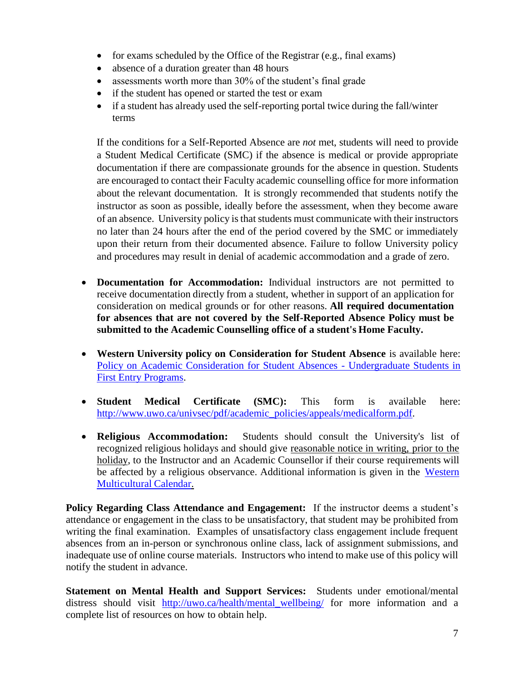- for exams scheduled by the Office of the Registrar (e.g., final exams)
- absence of a duration greater than 48 hours
- assessments worth more than 30% of the student's final grade
- if the student has opened or started the test or exam
- if a student has already used the self-reporting portal twice during the fall/winter terms

If the conditions for a Self-Reported Absence are *not* met, students will need to provide a Student Medical Certificate (SMC) if the absence is medical or provide appropriate documentation if there are compassionate grounds for the absence in question. Students are encouraged to contact their Faculty academic counselling office for more information about the relevant documentation. It is strongly recommended that students notify the instructor as soon as possible, ideally before the assessment, when they become aware of an absence. University policy is that students must communicate with their instructors no later than 24 hours after the end of the period covered by the SMC or immediately upon their return from their documented absence. Failure to follow University policy and procedures may result in denial of academic accommodation and a grade of zero.

- **Documentation for Accommodation:** Individual instructors are not permitted to receive documentation directly from a student, whether in support of an application for consideration on medical grounds or for other reasons. **All required documentation for absences that are not covered by the Self-Reported Absence Policy must be submitted to the Academic Counselling office of a student's Home Faculty.**
- **Western University policy on Consideration for Student Absence** is available here: [Policy on Academic Consideration for Student Absences -](https://www.uwo.ca/univsec/pdf/academic_policies/appeals/Academic_Consideration_for_absences.pdf) Undergraduate Students in [First Entry Programs.](https://www.uwo.ca/univsec/pdf/academic_policies/appeals/Academic_Consideration_for_absences.pdf)
- **Student Medical Certificate (SMC):** This form is available here: [http://www.uwo.ca/univsec/pdf/academic\\_policies/appeals/medicalform.pdf.](http://www.uwo.ca/univsec/pdf/academic_policies/appeals/medicalform.pdf)
- **Religious Accommodation:** Students should consult the University's list of recognized religious holidays and should give reasonable notice in writing, prior to the holiday, to the Instructor and an Academic Counsellor if their course requirements will be affected by a religious observance. Additional information is given in the [Western](https://multiculturalcalendar.com/ecal/index.php?s=c-univwo) [Multicultural](https://multiculturalcalendar.com/ecal/index.php?s=c-univwo) Calendar.

**Policy Regarding Class Attendance and Engagement:** If the instructor deems a student's attendance or engagement in the class to be unsatisfactory, that student may be prohibited from writing the final examination. Examples of unsatisfactory class engagement include frequent absences from an in-person or synchronous online class, lack of assignment submissions, and inadequate use of online course materials. Instructors who intend to make use of this policy will notify the student in advance.

**Statement on Mental Health and Support Services:** Students under emotional/mental distress should visit [http://uwo.ca/health/mental\\_wellbeing/](http://uwo.ca/health/mental_wellbeing/) for more information and a complete list of resources on how to obtain help.